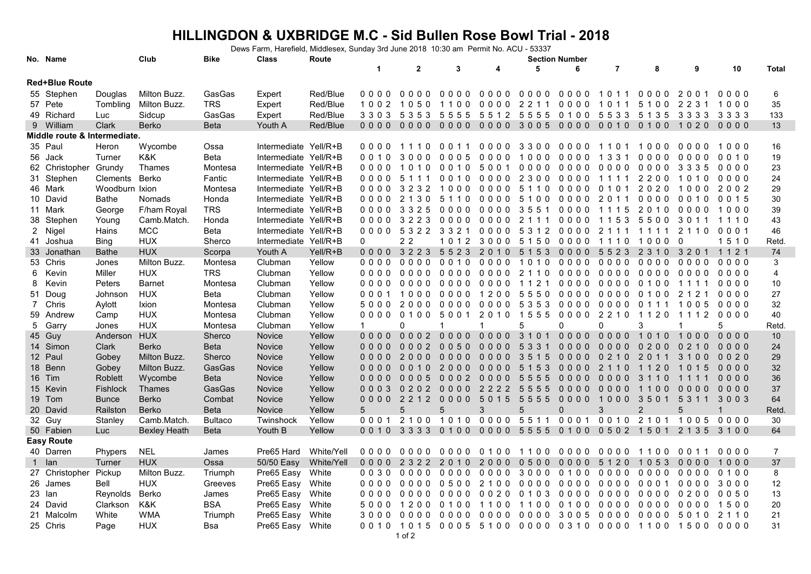## **HILLINGDON & UXBRIDGE M.C - Sid Bullen Rose Bowl Trial - 2018**

Dews Farm, Harefield, Middlesex, Sunday 3rd June 2018 10:30 am Permit No. ACU - 53337

|                       | No. Name                     |                | Club          | <b>Bike</b>    | <b>Class</b>          | Route      | <b>Section Number</b> |                          |         |                     |           |          |                      |                                              |                         |         |                |
|-----------------------|------------------------------|----------------|---------------|----------------|-----------------------|------------|-----------------------|--------------------------|---------|---------------------|-----------|----------|----------------------|----------------------------------------------|-------------------------|---------|----------------|
|                       |                              |                |               |                |                       |            | $\mathbf 1$           | $\mathbf{2}$             | 3       | 4                   | 5         | 6        | 7                    | 8                                            | 9                       | 10      | Total          |
| <b>Red+Blue Route</b> |                              |                |               |                |                       |            |                       |                          |         |                     |           |          |                      |                                              |                         |         |                |
|                       | 55 Stephen                   | Douglas        | Milton Buzz.  | GasGas         | Expert                | Red/Blue   | 0000                  | 0000                     | 0000    | 0000                | 0000      | 0000     | 1011                 | 0000                                         | 2001                    | 0000    | 6              |
|                       | 57 Pete                      | Tombling       | Milton Buzz.  | <b>TRS</b>     | Expert                | Red/Blue   | 1002                  | 50<br>10                 | 1100    | 0000                | 2 2 1 1   | 0000     | 10<br>-1<br>-1       | 5 1<br>0 <sub>0</sub>                        | 22<br>31                | 1000    | 35             |
|                       | 49 Richard                   | Luc            | Sidcup        | GasGas         | Expert                | Red/Blue   | 3303                  | 5353                     | 5555    | 5512 5555 0100 5533 |           |          |                      |                                              | 5 1 3 5 3 3 3 3 3 3 3 3 |         | 133            |
|                       | 9 William                    | Clark          | Berko         | Beta           | Youth A               | Red/Blue   | 0000                  | 0000                     |         |                     |           |          |                      | 0000 0000 3005 0000 0010 0100 1020 0000      |                         |         | 13             |
|                       | Middle route & Intermediate. |                |               |                |                       |            |                       |                          |         |                     |           |          |                      |                                              |                         |         |                |
|                       | 35 Paul                      | Heron          | Wycombe       | Ossa           | Intermediate Yell/R+B |            | 0000                  | 1110                     | 0011    | 0000                | 3300      | 0000     | 110                  | 1000                                         | 0000                    | 1000    | 16             |
|                       | 56 Jack                      | Turner         | K&K           | Beta           | Intermediate Yell/R+B |            | 0010                  | 0 <sub>0</sub><br>3<br>0 | 0005    | 0000                | 1000      | 0000     | 1 3 3 1              | 0000                                         | 0000                    | 0010    | 19             |
|                       | 62 Christopher               | Grundy         | Thames        | Montesa        | Intermediate Yell/R+B |            | 0000                  | 10<br>- 0                | 0010    | 5001                | 0000      | 0000     | 0000                 | 0000                                         | 3 3 3 5                 | 0000    | 23             |
|                       | 31 Stephen                   | Clements Berko |               | Fantic         | Intermediate Yell/R+B |            | 0000                  | 5<br>111                 | 0010    | 0000                | 2300 0000 |          | 1111                 | 2200                                         | 1010                    | 0000    | 24             |
|                       | 46 Mark                      | Woodburn Ixion |               | Montesa        | Intermediate Yell/R+B |            | 0000                  | 2 3 2<br>3               | 1000    | 0000                | 5 1 1 0   | 0000     | 0 <sub>1</sub><br>01 | 2020                                         | 1000                    | 2002    | 29             |
|                       | 10 David                     | Bathe          | Nomads        | Honda          | Intermediate Yell/R+B |            | 0000                  | 2 1 3 0                  | 5 1 1 0 | 0000                | 5100      | 0000     | 2 0 1 1              | 0000                                         | 0010                    | 0 0 1 5 | 30             |
|                       | 11 Mark                      | George         | F/ham Royal   | <b>TRS</b>     | Intermediate Yell/R+B |            | 0000                  | 3325                     | 0000    | 0000                | 3551      | 0000     | 1115                 | 2010                                         | 0000                    | 1000    | 39             |
|                       | 38 Stephen                   | Young          | Camb.Match.   | Honda          | Intermediate Yell/R+B |            | 0000                  | 3223                     | 0000    | 0000                | 2 1 1 1   | 0000     | 53<br>11             | 5500                                         | 3011                    | 1110    | 43             |
|                       | 2 Nigel                      | Hains          | <b>MCC</b>    | Beta           | Intermediate Yell/R+B |            | 0000                  | 53223321                 |         | 0000                |           | 53120000 | 2111                 | 1111                                         | 2110                    | 0001    | 46             |
|                       | 41 Joshua                    | Bing           | <b>HUX</b>    | Sherco         | Intermediate Yell/R+B |            | 0                     | 2 2                      | 1012    | 3000                | 5150      | 0000     | 1110                 | 1000                                         |                         | 1510    | <b>Retd</b>    |
|                       | 33 Jonathan                  | <b>Bathe</b>   | <b>HUX</b>    | Scorpa         | Youth A               | Yell/R+B   | $0000$                | 3223                     | 5523    | 2010                | 5 1 5 3   | $0000$   | 5523                 | 2 3 1 0                                      | 3 2 0 1                 | 1 1 2 1 | 74             |
|                       | 53 Chris                     | Jones          | Milton Buzz.  | Montesa        | Clubman               | Yellow     | 0000                  | 0000                     | 0010    | 0000                | 1010      | 0000     | 0000                 | 0000                                         | 0000                    | 0000    | 3              |
| 6                     | Kevin                        | Miller         | <b>HUX</b>    | <b>TRS</b>     | Clubman               | Yellow     | 0000                  | 0000                     | 0000    | 0000                | 2 1 1 0   | 0000     | 0000                 | 0000                                         | 0000                    | 0000    | 4              |
| 8                     | Kevin                        | Peters         | <b>Barnet</b> | Montesa        | Clubman               | Yellow     | 0000                  | 0000                     | 0000    | 0000                | 1121      | 0000     | 0000                 | 01<br>0 <sub>0</sub>                         | 11<br>11                | 0000    | 10             |
|                       | 51 Doug                      | Johnson        | <b>HUX</b>    | Beta           | Clubman               | Yellow     | 0001                  | 1000                     | 0000    | 1200                | 55500000  |          | 0000                 | 0100                                         | 2 1 2 1                 | 0000    | 27             |
| $7^{\circ}$           | Chris                        | Aylott         | Ixion         | Montesa        | Clubman               | Yellow     | 5000                  | 2000                     | 0000    | 0000                | 5353      | 0000     | 0000                 | 0 1 1 1                                      | 1005                    | 0000    | 32             |
|                       | 59 Andrew                    | Camp           | <b>HUX</b>    | Montesa        | Clubman               | Yellow     | 0000                  | 0100                     | 5001    | 2010                | 1555      | 0000     | 2 2 1 0              | 1120                                         | 1112                    | 0000    | 40             |
|                       | 5 Garry                      | Jones          | <b>HUX</b>    | Montesa        | Clubman               | Yellow     | $\mathbf 1$           | 0                        |         | -1                  | 5         | 0        | 0                    | 3                                            |                         | 5       | <b>Retd</b>    |
|                       | 45 Guy                       | Anderson       | <b>HUX</b>    | Sherco         | Novice                | Yellow     | $0000$                | 0002                     | $0000$  | $0000$              | 3 1 0 1   | $0000$   | $0000$               | 1010                                         | 1000                    | $0000$  | 10             |
|                       | 14 Simon                     | Clark          | <b>Berko</b>  | Beta           | Novice                | Yellow     | $0000$                | 0002                     | 0050    | $0000$              | 5 3 3 1   | $0000$   | 0000                 | 0200                                         | 0 <sub>2</sub><br>10    | 0000    | 24             |
|                       | 12 Paul                      | Gobey          | Milton Buzz.  | Sherco         | Novice                | Yellow     | $0000$                | 2000                     | $0000$  | $0000$              | 3515      | 0000     | 0210                 | 2011                                         | 3100                    | 0020    | 29             |
|                       | 18 Benn                      | Gobey          | Milton Buzz.  | GasGas         | Novice                | Yellow     | 0000                  | 0010                     | 2000    | 0000                | 5 1 5 3   | 0000     | 2<br>110             | 20<br>11                                     | 1015                    | $0000$  | 32             |
|                       | 16 Tim                       | <b>Roblett</b> | Wycombe       | Beta           | Novice                | Yellow     | $0000$                | $0005$                   | 0002    | $0000$              | 5555      | 0000     | $0000$               | 3 1 1 0                                      | 1111                    | $0000$  | 36             |
|                       | 15 Kevin                     | Fishlock       | <b>Thames</b> | GasGas         | Novice                | Yellow     | 0003                  | 0202                     | 0000    | 2222                | 5555      | 0000     | 0000                 | 1100                                         | 0000                    | 0000    | 37             |
|                       | 19 Tom                       | <b>Bunce</b>   | Berko         | Combat         | Novice                | Yellow     | 0000                  | 2 2 1 2                  | 0000    | 5 0 1 5             | 5555      | 0000     | 1000                 | 3501                                         | 53<br>11                | 3003    | 64             |
|                       | 20 David                     | Railston       | Berko         | <b>Beta</b>    | Novice                | Yellow     | 5                     | 5                        | 5       | 3                   | 5         | $\Omega$ | 3                    | $\overline{2}$                               | 5                       |         | Retd.          |
|                       | 32 Guy                       | Stanley        | Camb.Match.   | <b>Bultaco</b> | Twinshock             | Yellow     | 0001                  | 2 1 0 0                  | 1010    | 0000                | 5511      | 0001     | 0010                 | 2 1 0 1                                      | 1005                    | 0000    | 30             |
|                       | 50 Fabien                    | Luc            | Bexley Heath  | <b>Beta</b>    | Youth B               | Yellow     | 0010                  | 3333                     | 0100    | 0000                | 55550100  |          | 0502                 | $\overline{1}$<br>5 0 1                      | 2 1 3 5                 | 3100    | 64             |
|                       | <b>Easy Route</b>            |                |               |                |                       |            |                       |                          |         |                     |           |          |                      |                                              |                         |         |                |
|                       | 40 Darren                    | Phypers        | <b>NEL</b>    | James          | Pre65 Hard            | White/Yell | 0000                  | 0000                     | 0000    | 0100                | 1100      | 0000     | 0000                 | 1100                                         | 0011                    | 0000    | $\overline{7}$ |
|                       | 1 Ian                        | Turner         | <b>HUX</b>    | Ossa           | 50/50 Easy            | White/Yell | $0000$                | 2 3 2 2                  | 2010    | 2000                | 0500      | 0000     | 5 1 2 0              | 1 0 5 3                                      | 0000                    | 1000    | 37             |
|                       | 27 Christopher               | Pickup         | Milton Buzz.  | Triumph        | Pre65 Easy            | White      | $0030$                | 0000                     | 0000    | 0000                | 3000 0100 |          | 0000                 | 0000                                         | 0000                    | 0100    | 8              |
|                       | 26 James                     | Bell           | <b>HUX</b>    | Greeves        | Pre65 Easy            | White      | 0000                  | 0000                     | 0500    | 2100                | 0000      | 0000     | 0000                 | 0001                                         | 0000                    | 3000    | 12             |
|                       | 23 Ian                       | Reynolds       | Berko         | James          | Pre65 Easy            | White      | 0000                  | 0000                     | $0000$  | 0020                | 0 1 0 3   | 0000     | 0000                 | 0000                                         | $0200$                  | 0050    | 13             |
|                       | 24 David                     | Clarkson       | K&K           | BSA            | Pre65 Easy            | White      | 5000                  | 1200                     | 0100    | 1100                | 1100      | 0100     | 0000                 | 0000                                         | 0000                    | 1500    | 20             |
|                       | 21 Malcolm                   | White          | <b>WMA</b>    | Triumph        | Pre65 Easy            | White      | 3000                  | 0000                     | 0000    | 0000                | 0000      | 3005     | 0000                 | 0000                                         | 5010                    | 2 1 1 0 | 21             |
|                       | 25 Chris                     | Page           | <b>HUX</b>    | Bsa            | Pre65 Easy            | White      |                       |                          |         |                     |           |          |                      | 0010 1015 0005 5100 0000 0310 0000 1100 1500 |                         | 0000    | 31             |